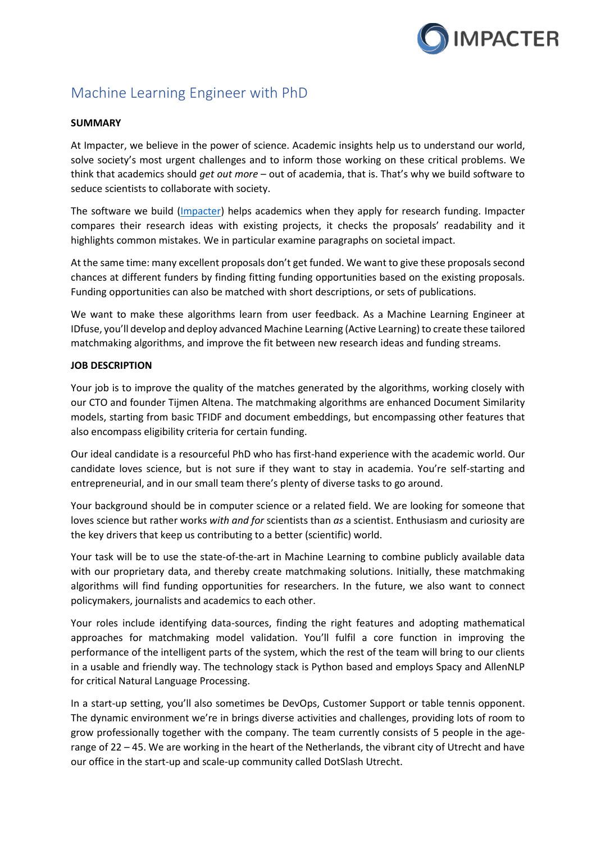

# Machine Learning Engineer with PhD

### **SUMMARY**

At Impacter, we believe in the power of science. Academic insights help us to understand our world, solve society's most urgent challenges and to inform those working on these critical problems. We think that academics should *get out more* – out of academia, that is. That's why we build software to seduce scientists to collaborate with society.

The software we build (*Impacter*) helps academics when they apply for research funding. Impacter compares their research ideas with existing projects, it checks the proposals' readability and it highlights common mistakes. We in particular examine paragraphs on societal impact.

At the same time: many excellent proposals don't get funded. We want to give these proposals second chances at different funders by finding fitting funding opportunities based on the existing proposals. Funding opportunities can also be matched with short descriptions, or sets of publications.

We want to make these algorithms learn from user feedback. As a Machine Learning Engineer at IDfuse, you'll develop and deploy advanced Machine Learning (Active Learning) to create these tailored matchmaking algorithms, and improve the fit between new research ideas and funding streams.

## **JOB DESCRIPTION**

Your job is to improve the quality of the matches generated by the algorithms, working closely with our CTO and founder Tijmen Altena. The matchmaking algorithms are enhanced Document Similarity models, starting from basic TFIDF and document embeddings, but encompassing other features that also encompass eligibility criteria for certain funding.

Our ideal candidate is a resourceful PhD who has first-hand experience with the academic world. Our candidate loves science, but is not sure if they want to stay in academia. You're self-starting and entrepreneurial, and in our small team there's plenty of diverse tasks to go around.

Your background should be in computer science or a related field. We are looking for someone that loves science but rather works *with and for* scientists than *as* a scientist. Enthusiasm and curiosity are the key drivers that keep us contributing to a better (scientific) world.

Your task will be to use the state-of-the-art in Machine Learning to combine publicly available data with our proprietary data, and thereby create matchmaking solutions. Initially, these matchmaking algorithms will find funding opportunities for researchers. In the future, we also want to connect policymakers, journalists and academics to each other.

Your roles include identifying data-sources, finding the right features and adopting mathematical approaches for matchmaking model validation. You'll fulfil a core function in improving the performance of the intelligent parts of the system, which the rest of the team will bring to our clients in a usable and friendly way. The technology stack is Python based and employs Spacy and AllenNLP for critical Natural Language Processing.

In a start-up setting, you'll also sometimes be DevOps, Customer Support or table tennis opponent. The dynamic environment we're in brings diverse activities and challenges, providing lots of room to grow professionally together with the company. The team currently consists of 5 people in the agerange of 22 – 45. We are working in the heart of the Netherlands, the vibrant city of Utrecht and have our office in the start-up and scale-up community called DotSlash Utrecht.